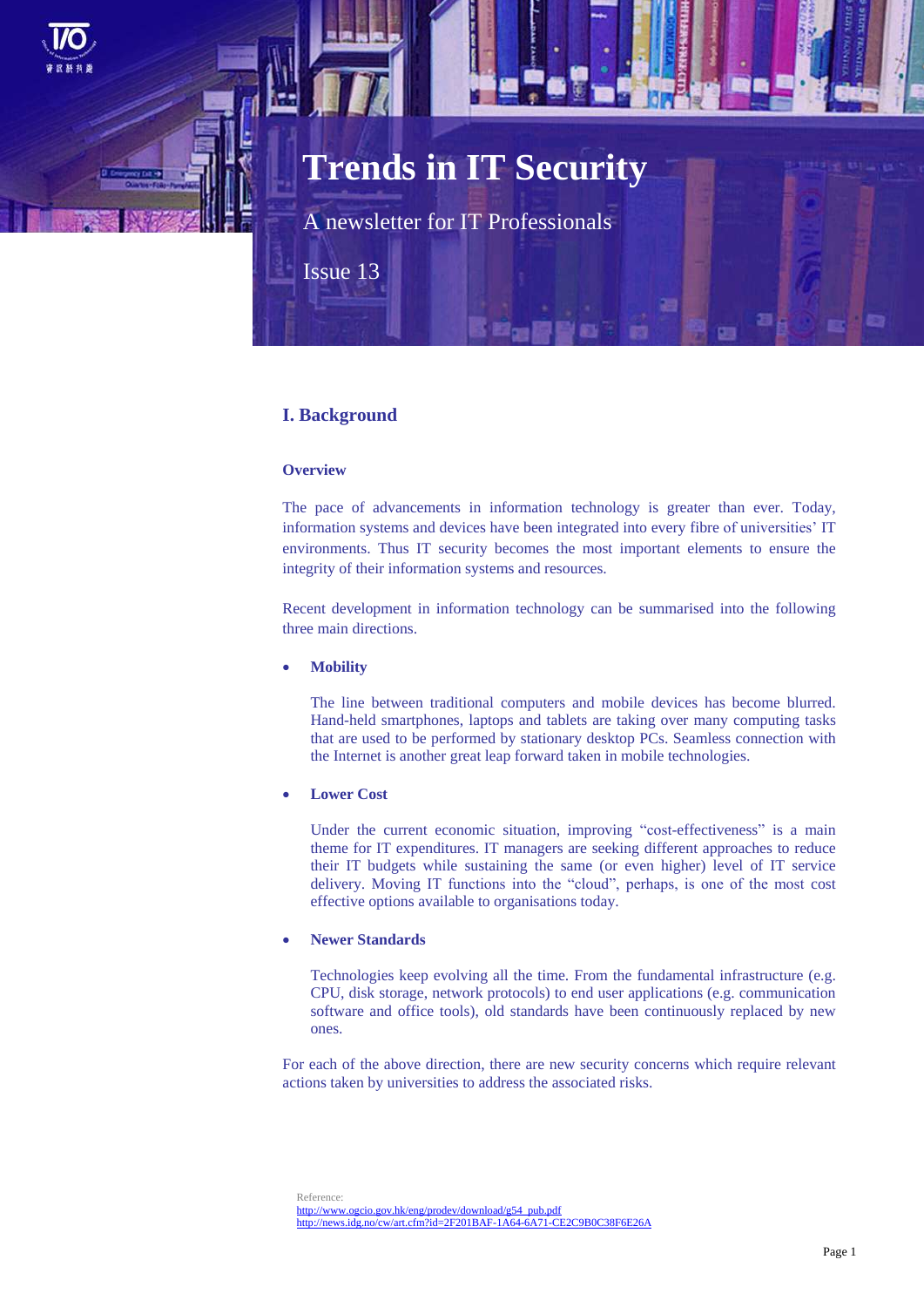

# **Trends in IT Security**

A newsletter for IT Professionals

Issue 13

# **I. Background**

## **Overview**

The pace of advancements in information technology is greater than ever. Today, information systems and devices have been integrated into every fibre of universities' IT environments. Thus IT security becomes the most important elements to ensure the integrity of their information systems and resources.

Recent development in information technology can be summarised into the following three main directions.

#### **Mobility**

The line between traditional computers and mobile devices has become blurred. Hand-held smartphones, laptops and tablets are taking over many computing tasks that are used to be performed by stationary desktop PCs. Seamless connection with the Internet is another great leap forward taken in mobile technologies.

# **Lower Cost**

Under the current economic situation, improving "cost-effectiveness" is a main theme for IT expenditures. IT managers are seeking different approaches to reduce their IT budgets while sustaining the same (or even higher) level of IT service delivery. Moving IT functions into the "cloud", perhaps, is one of the most cost effective options available to organisations today.

#### **Newer Standards**

Technologies keep evolving all the time. From the fundamental infrastructure (e.g. CPU, disk storage, network protocols) to end user applications (e.g. communication software and office tools), old standards have been continuously replaced by new ones.

For each of the above direction, there are new security concerns which require relevant actions taken by universities to address the associated risks.

Reference: [http://www.ogcio.gov.hk/eng/prodev/download/g54\\_pub.pdf](http://www.ogcio.gov.hk/eng/prodev/download/g54_pub.pdf) <http://news.idg.no/cw/art.cfm?id=2F201BAF-1A64-6A71-CE2C9B0C38F6E26A>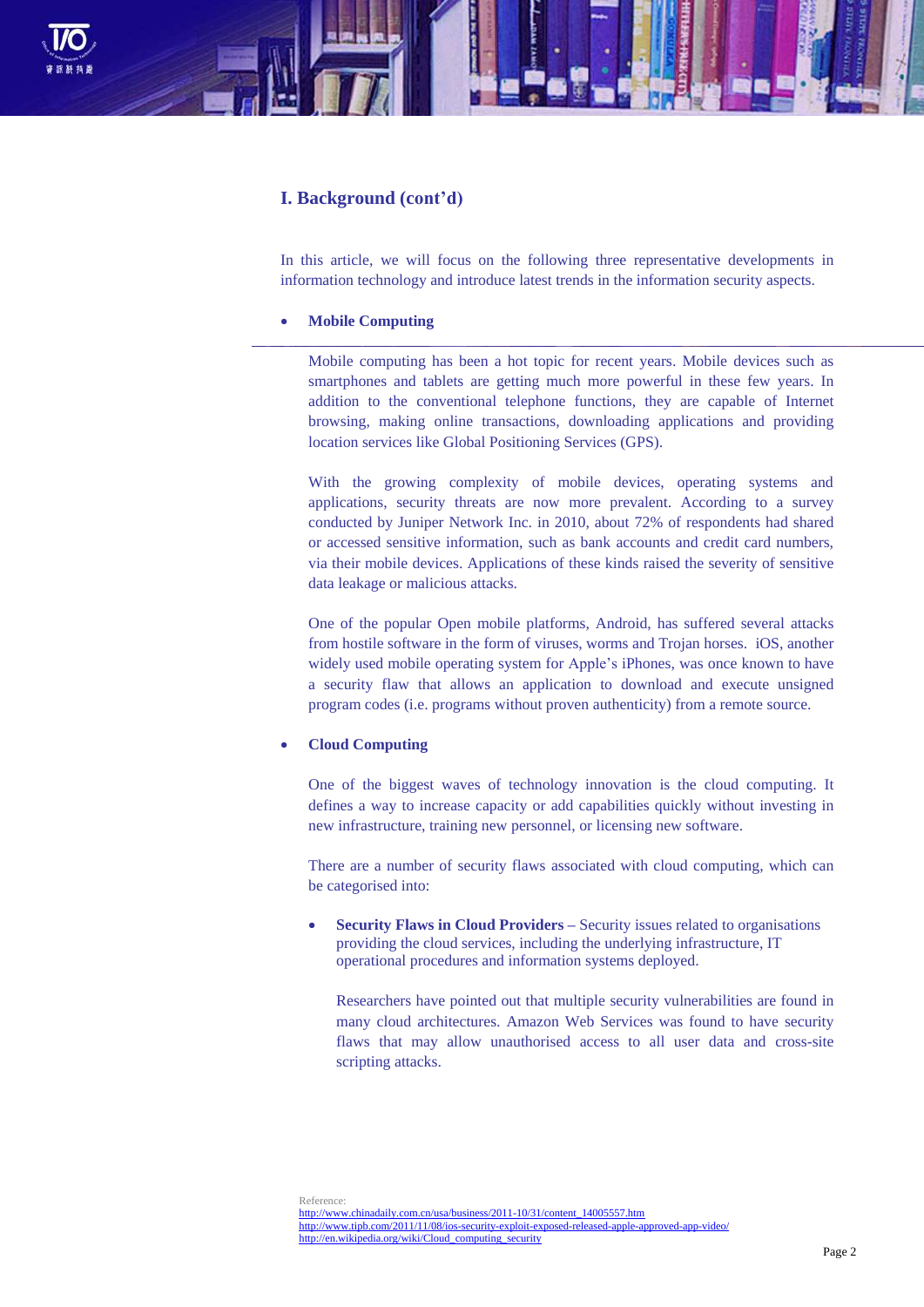

# **I. Background (cont'd)**

In this article, we will focus on the following three representative developments in information technology and introduce latest trends in the information security aspects.

#### **Mobile Computing**

Mobile computing has been a hot topic for recent years. Mobile devices such as smartphones and tablets are getting much more powerful in these few years. In addition to the conventional telephone functions, they are capable of Internet browsing, making online transactions, downloading applications and providing location services like Global Positioning Services (GPS).

With the growing complexity of mobile devices, operating systems and applications, security threats are now more prevalent. According to a survey conducted by Juniper Network Inc. in 2010, about 72% of respondents had shared or accessed sensitive information, such as bank accounts and credit card numbers, via their mobile devices. Applications of these kinds raised the severity of sensitive data leakage or malicious attacks.

One of the popular Open mobile platforms, Android, has suffered several attacks from hostile software in the form of viruses, worms and Trojan horses. iOS, another widely used mobile operating system for Apple's iPhones, was once known to have a security flaw that allows an application to download and execute unsigned program codes (i.e. programs without proven authenticity) from a remote source.

### **Cloud Computing**

One of the biggest waves of technology innovation is the cloud computing. It defines a way to increase capacity or add capabilities quickly without investing in new infrastructure, training new personnel, or licensing new software.

There are a number of security flaws associated with cloud computing, which can be categorised into:

 **Security Flaws in Cloud Providers –** Security issues related to organisations providing the cloud services, including the underlying infrastructure, IT operational procedures and information systems deployed.

Researchers have pointed out that multiple security vulnerabilities are found in many cloud architectures. Amazon Web Services was found to have security flaws that may allow unauthorised access to all user data and cross-site scripting attacks.

Reference: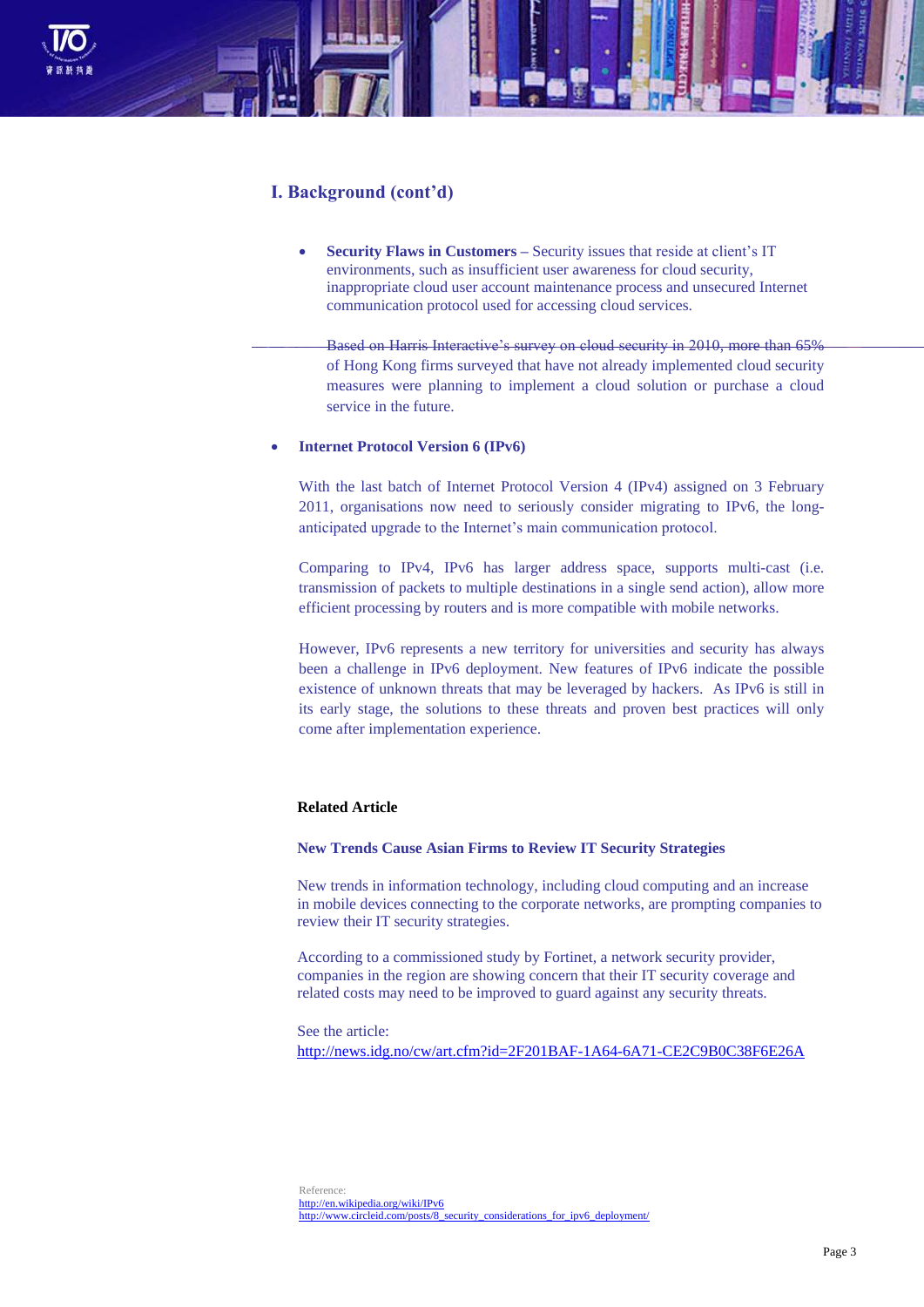

# **I. Background (cont'd)**

 **Security Flaws in Customers –** Security issues that reside at client's IT environments, such as insufficient user awareness for cloud security, inappropriate cloud user account maintenance process and unsecured Internet communication protocol used for accessing cloud services.

Based on Harris Interactive's survey on cloud security in 2010, more than 65% of Hong Kong firms surveyed that have not already implemented cloud security measures were planning to implement a cloud solution or purchase a cloud service in the future.

# **Internet Protocol Version 6 (IPv6)**

With the last batch of Internet Protocol Version 4 (IPv4) assigned on 3 February 2011, organisations now need to seriously consider migrating to IPv6, the longanticipated upgrade to the Internet's main communication protocol.

Comparing to IPv4, IPv6 has larger address space, supports multi-cast (i.e. transmission of packets to multiple destinations in a single send action), allow more efficient processing by routers and is more compatible with mobile networks.

However, IPv6 represents a new territory for universities and security has always been a challenge in IPv6 deployment. New features of IPv6 indicate the possible existence of unknown threats that may be leveraged by hackers. As IPv6 is still in its early stage, the solutions to these threats and proven best practices will only come after implementation experience.

# **Related Article**

#### **New Trends Cause Asian Firms to Review IT Security Strategies**

New trends in information technology, including cloud computing and an increase in mobile devices connecting to the corporate networks, are prompting companies to review their IT security strategies.

According to a commissioned study by Fortinet, a network security provider, companies in the region are showing concern that their IT security coverage and related costs may need to be improved to guard against any security threats.

See the article: <http://news.idg.no/cw/art.cfm?id=2F201BAF-1A64-6A71-CE2C9B0C38F6E26A>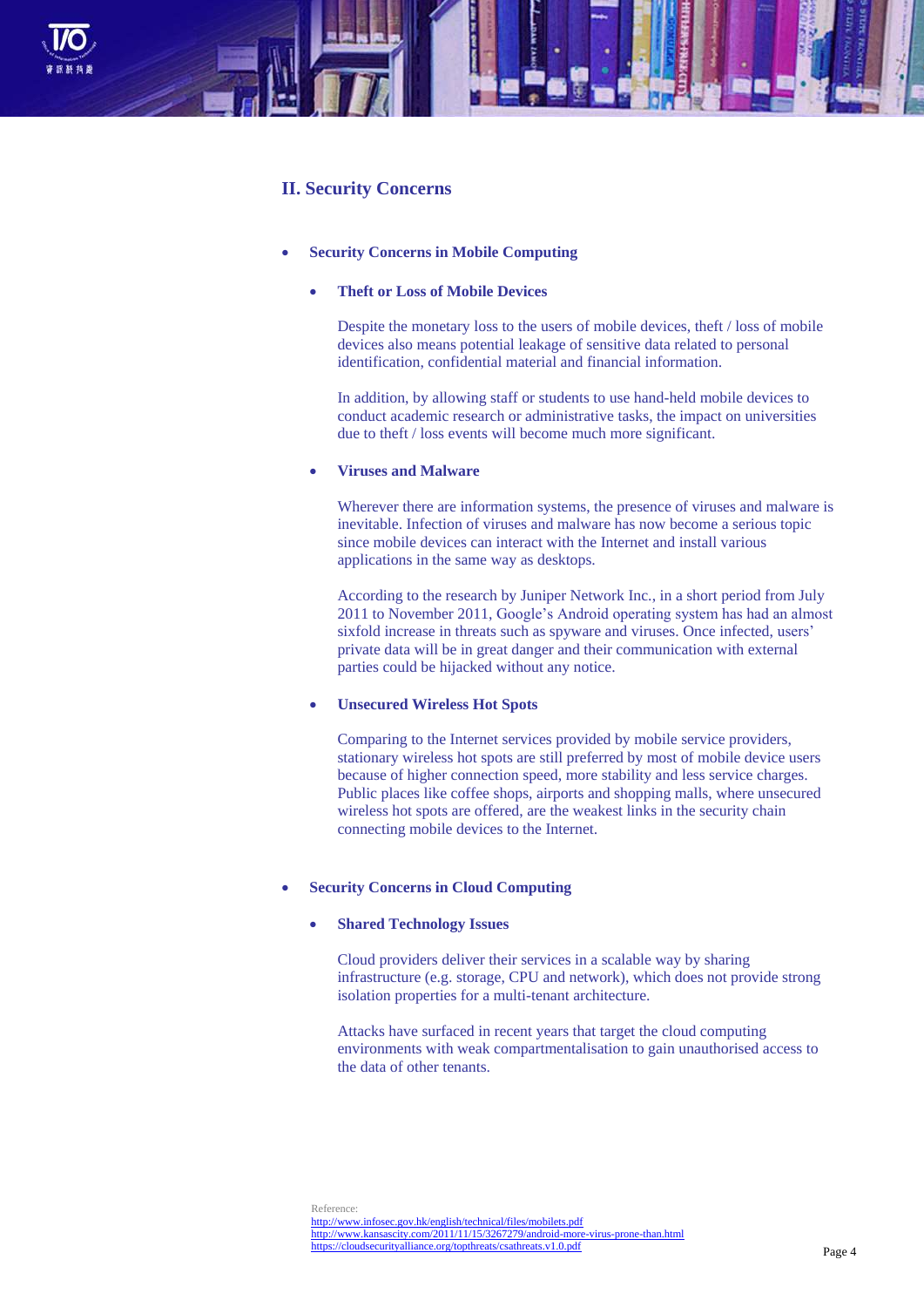

# **II. Security Concerns**

#### **Security Concerns in Mobile Computing**

#### **Theft or Loss of Mobile Devices**

Despite the monetary loss to the users of mobile devices, theft / loss of mobile devices also means potential leakage of sensitive data related to personal identification, confidential material and financial information.

In addition, by allowing staff or students to use hand-held mobile devices to conduct academic research or administrative tasks, the impact on universities due to theft / loss events will become much more significant.

# **Viruses and Malware**

Wherever there are information systems, the presence of viruses and malware is inevitable. Infection of viruses and malware has now become a serious topic since mobile devices can interact with the Internet and install various applications in the same way as desktops.

According to the research by Juniper Network Inc., in a short period from July 2011 to November 2011, Google's Android operating system has had an almost sixfold increase in threats such as spyware and viruses. Once infected, users' private data will be in great danger and their communication with external parties could be hijacked without any notice.

# **Unsecured Wireless Hot Spots**

Comparing to the Internet services provided by mobile service providers, stationary wireless hot spots are still preferred by most of mobile device users because of higher connection speed, more stability and less service charges. Public places like coffee shops, airports and shopping malls, where unsecured wireless hot spots are offered, are the weakest links in the security chain connecting mobile devices to the Internet.

#### **Security Concerns in Cloud Computing**

# **Shared Technology Issues**

Cloud providers deliver their services in a scalable way by sharing infrastructure (e.g. storage, CPU and network), which does not provide strong isolation properties for a multi-tenant architecture.

Attacks have surfaced in recent years that target the cloud computing environments with weak compartmentalisation to gain unauthorised access to the data of other tenants.

Reference:

<http://www.infosec.gov.hk/english/technical/files/mobilets.pdf> <http://www.kansascity.com/2011/11/15/3267279/android-more-virus-prone-than.html> <https://cloudsecurityalliance.org/topthreats/csathreats.v1.0.pdf>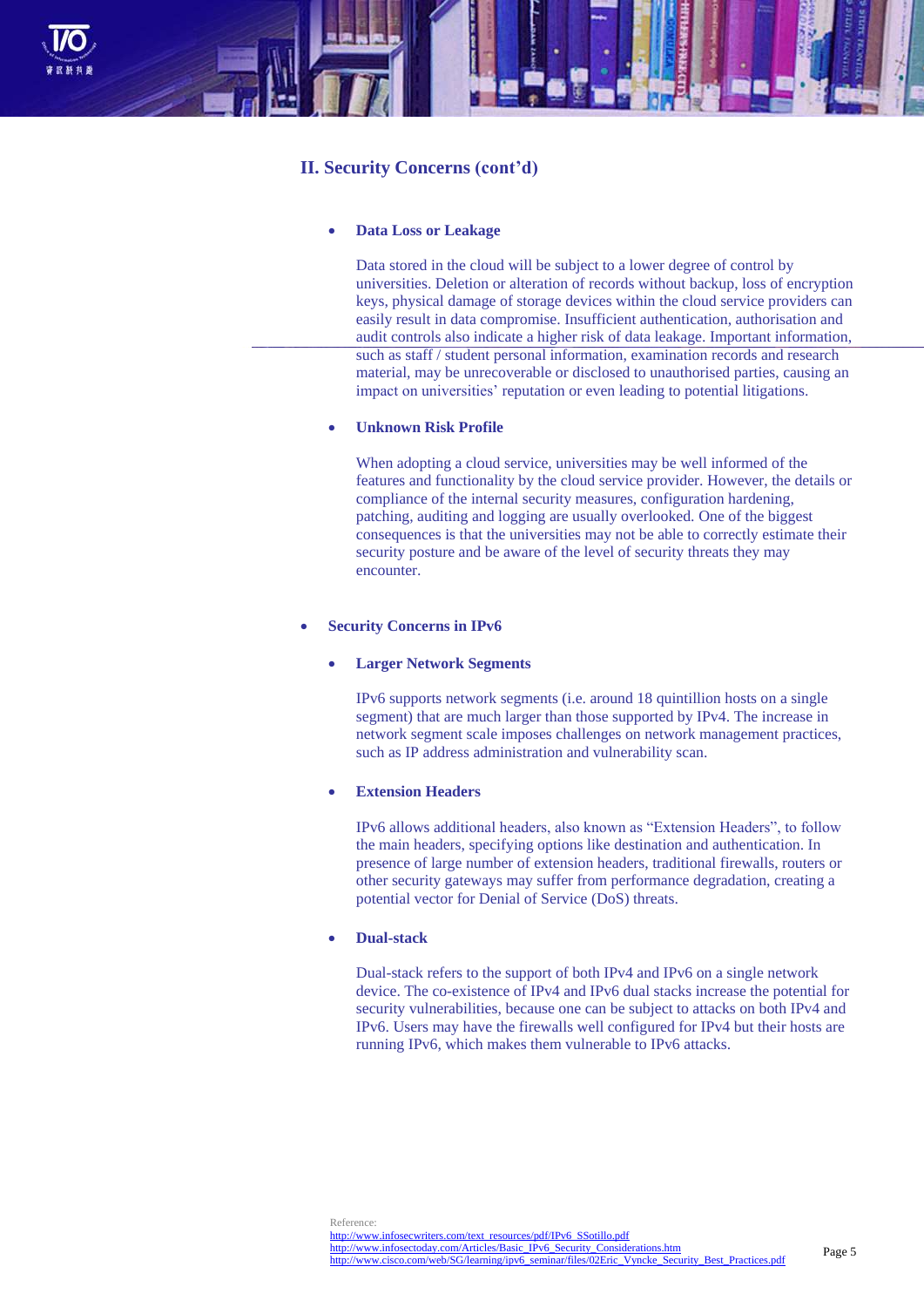

# **II. Security Concerns (cont'd)**

#### **Data Loss or Leakage**

Data stored in the cloud will be subject to a lower degree of control by universities. Deletion or alteration of records without backup, loss of encryption keys, physical damage of storage devices within the cloud service providers can easily result in data compromise. Insufficient authentication, authorisation and audit controls also indicate a higher risk of data leakage. Important information, such as staff / student personal information, examination records and research material, may be unrecoverable or disclosed to unauthorised parties, causing an impact on universities' reputation or even leading to potential litigations.

#### **Unknown Risk Profile**

When adopting a cloud service, universities may be well informed of the features and functionality by the cloud service provider. However, the details or compliance of the internal security measures, configuration hardening, patching, auditing and logging are usually overlooked. One of the biggest consequences is that the universities may not be able to correctly estimate their security posture and be aware of the level of security threats they may encounter.

#### **Security Concerns in IPv6**

#### **Larger Network Segments**

IPv6 supports network segments (i.e. around 18 quintillion hosts on a single segment) that are much larger than those supported by IPv4. The increase in network segment scale imposes challenges on network management practices, such as IP address administration and vulnerability scan.

#### **Extension Headers**

IPv6 allows additional headers, also known as "Extension Headers", to follow the main headers, specifying options like destination and authentication. In presence of large number of extension headers, traditional firewalls, routers or other security gateways may suffer from performance degradation, creating a potential vector for Denial of Service (DoS) threats.

## **Dual-stack**

Dual-stack refers to the support of both IPv4 and IPv6 on a single network device. The co-existence of IPv4 and IPv6 dual stacks increase the potential for security vulnerabilities, because one can be subject to attacks on both IPv4 and IPv6. Users may have the firewalls well configured for IPv4 but their hosts are running IPv6, which makes them vulnerable to IPv6 attacks.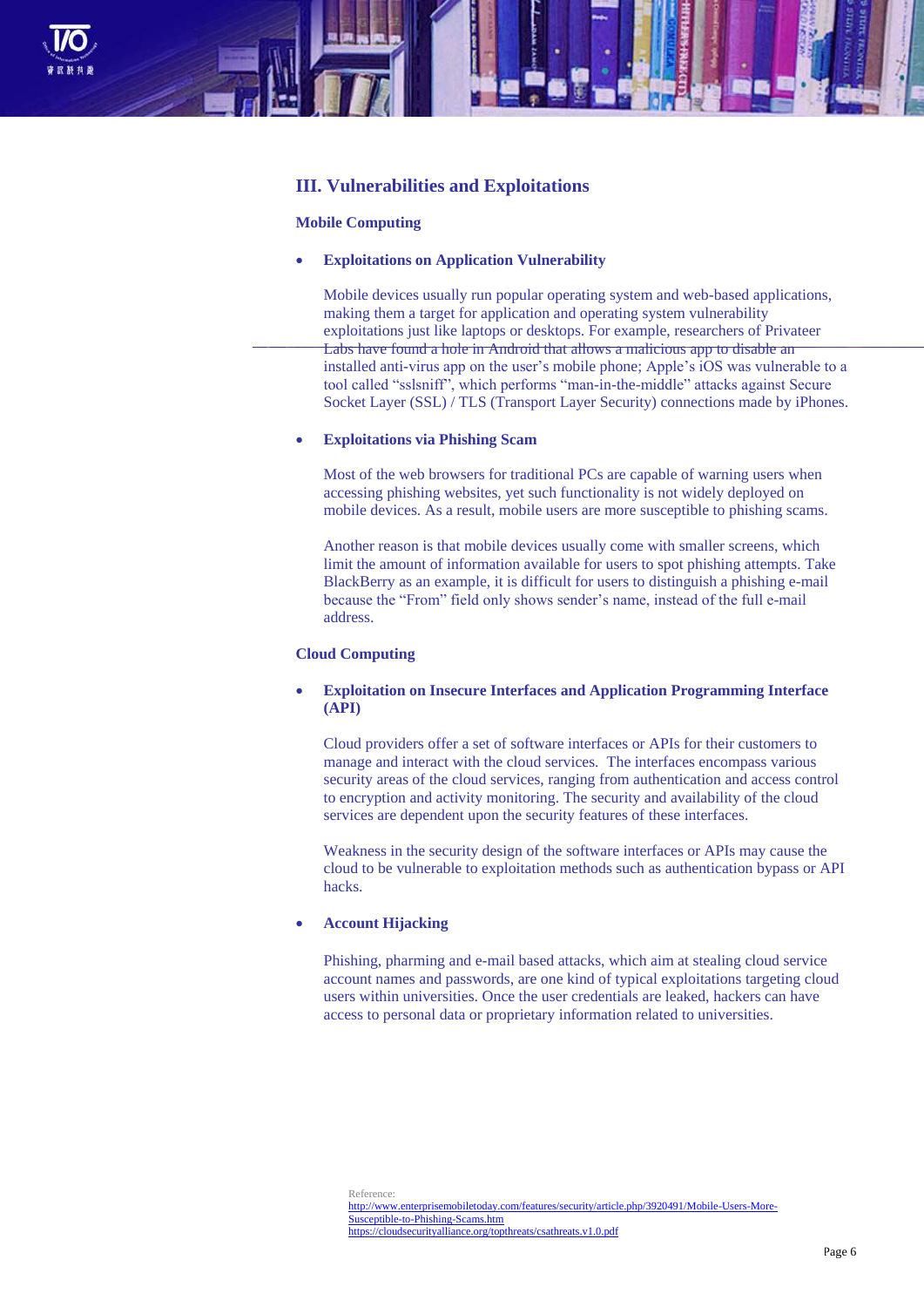

# **III. Vulnerabilities and Exploitations**

#### **Mobile Computing**

#### **Exploitations on Application Vulnerability**

Mobile devices usually run popular operating system and web-based applications, making them a target for application and operating system vulnerability exploitations just like laptops or desktops. For example, researchers of Privateer Labs have found a hole in Android that allows a malicious app to disable an installed anti-virus app on the user's mobile phone; Apple's iOS was vulnerable to a tool called "sslsniff", which performs "man-in-the-middle" attacks against Secure Socket Layer (SSL) / TLS (Transport Layer Security) connections made by iPhones.

#### **Exploitations via Phishing Scam**

Most of the web browsers for traditional PCs are capable of warning users when accessing phishing websites, yet such functionality is not widely deployed on mobile devices. As a result, mobile users are more susceptible to phishing scams.

Another reason is that mobile devices usually come with smaller screens, which limit the amount of information available for users to spot phishing attempts. Take BlackBerry as an example, it is difficult for users to distinguish a phishing e-mail because the "From" field only shows sender's name, instead of the full e-mail address.

# **Cloud Computing**

# **Exploitation on Insecure Interfaces and Application Programming Interface (API)**

Cloud providers offer a set of software interfaces or APIs for their customers to manage and interact with the cloud services. The interfaces encompass various security areas of the cloud services, ranging from authentication and access control to encryption and activity monitoring. The security and availability of the cloud services are dependent upon the security features of these interfaces.

Weakness in the security design of the software interfaces or APIs may cause the cloud to be vulnerable to exploitation methods such as authentication bypass or API hacks.

# **Account Hijacking**

Phishing, pharming and e-mail based attacks, which aim at stealing cloud service account names and passwords, are one kind of typical exploitations targeting cloud users within universities. Once the user credentials are leaked, hackers can have access to personal data or proprietary information related to universities.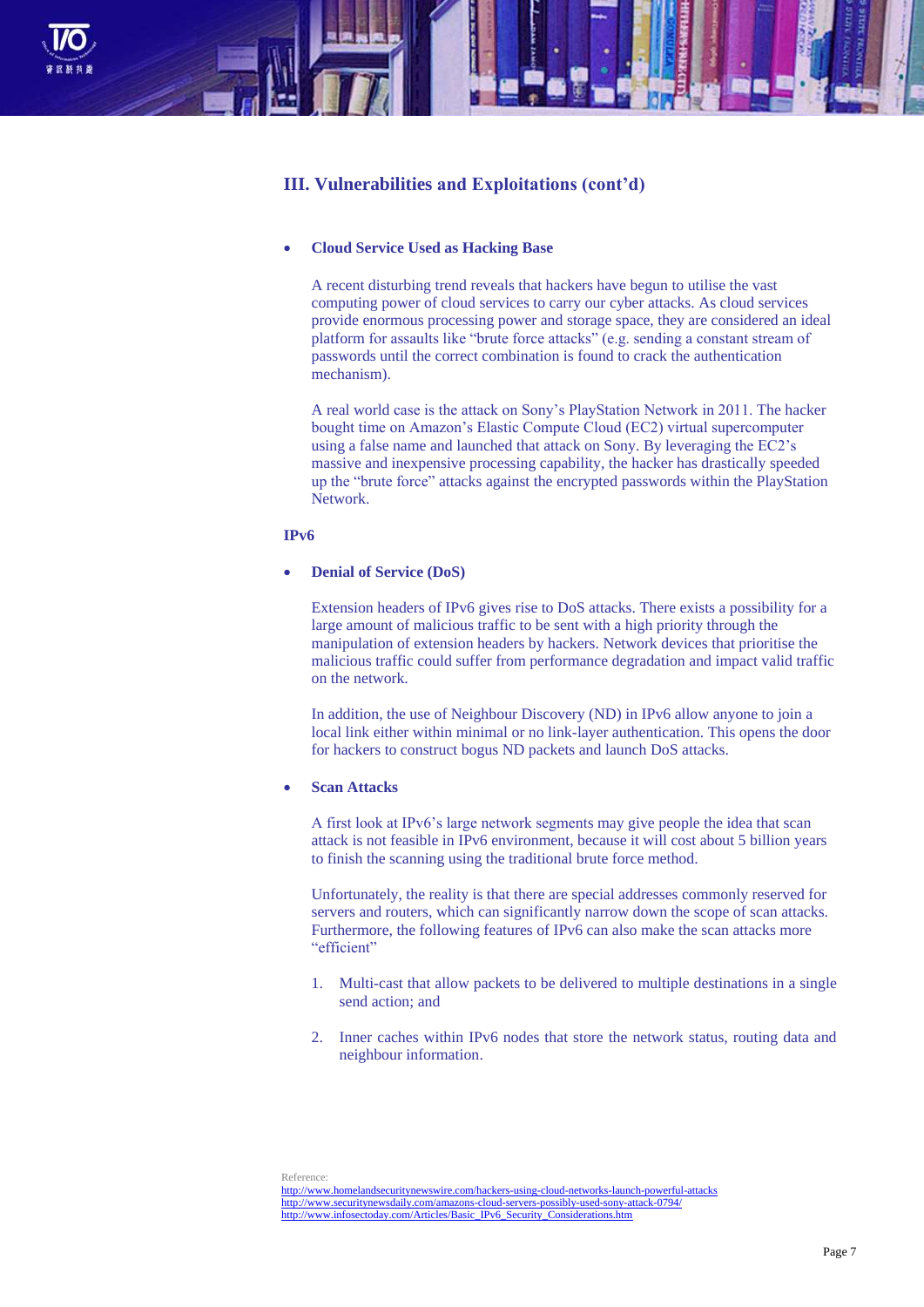

# **III. Vulnerabilities and Exploitations (cont'd)**

# **Cloud Service Used as Hacking Base**

A recent disturbing trend reveals that hackers have begun to utilise the vast computing power of cloud services to carry our cyber attacks. As cloud services provide enormous processing power and storage space, they are considered an ideal platform for assaults like "brute force attacks" (e.g. sending a constant stream of passwords until the correct combination is found to crack the authentication mechanism).

A real world case is the attack on Sony's PlayStation Network in 2011. The hacker bought time on Amazon's Elastic Compute Cloud (EC2) virtual supercomputer using a false name and launched that attack on Sony. By leveraging the EC2's massive and inexpensive processing capability, the hacker has drastically speeded up the "brute force" attacks against the encrypted passwords within the PlayStation Network.

# **IPv6**

# **Denial of Service (DoS)**

Extension headers of IPv6 gives rise to DoS attacks. There exists a possibility for a large amount of malicious traffic to be sent with a high priority through the manipulation of extension headers by hackers. Network devices that prioritise the malicious traffic could suffer from performance degradation and impact valid traffic on the network.

In addition, the use of Neighbour Discovery (ND) in IPv6 allow anyone to join a local link either within minimal or no link-layer authentication. This opens the door for hackers to construct bogus ND packets and launch DoS attacks.

# **Scan Attacks**

A first look at IPv6's large network segments may give people the idea that scan attack is not feasible in IPv6 environment, because it will cost about 5 billion years to finish the scanning using the traditional brute force method.

Unfortunately, the reality is that there are special addresses commonly reserved for servers and routers, which can significantly narrow down the scope of scan attacks. Furthermore, the following features of IPv6 can also make the scan attacks more "efficient"

- 1. Multi-cast that allow packets to be delivered to multiple destinations in a single send action; and
- 2. Inner caches within IPv6 nodes that store the network status, routing data and neighbour information.

Reference: <http://www.homelandsecuritynewswire.com/hackers-using-cloud-networks-launch-powerful-attacks> <http://www.securitynewsdaily.com/amazons-cloud-servers-possibly-used-sony-attack-0794/> [http://www.infosectoday.com/Articles/Basic\\_IPv6\\_Security\\_Considerations.htm](http://www.infosectoday.com/Articles/Basic_IPv6_Security_Considerations.htm)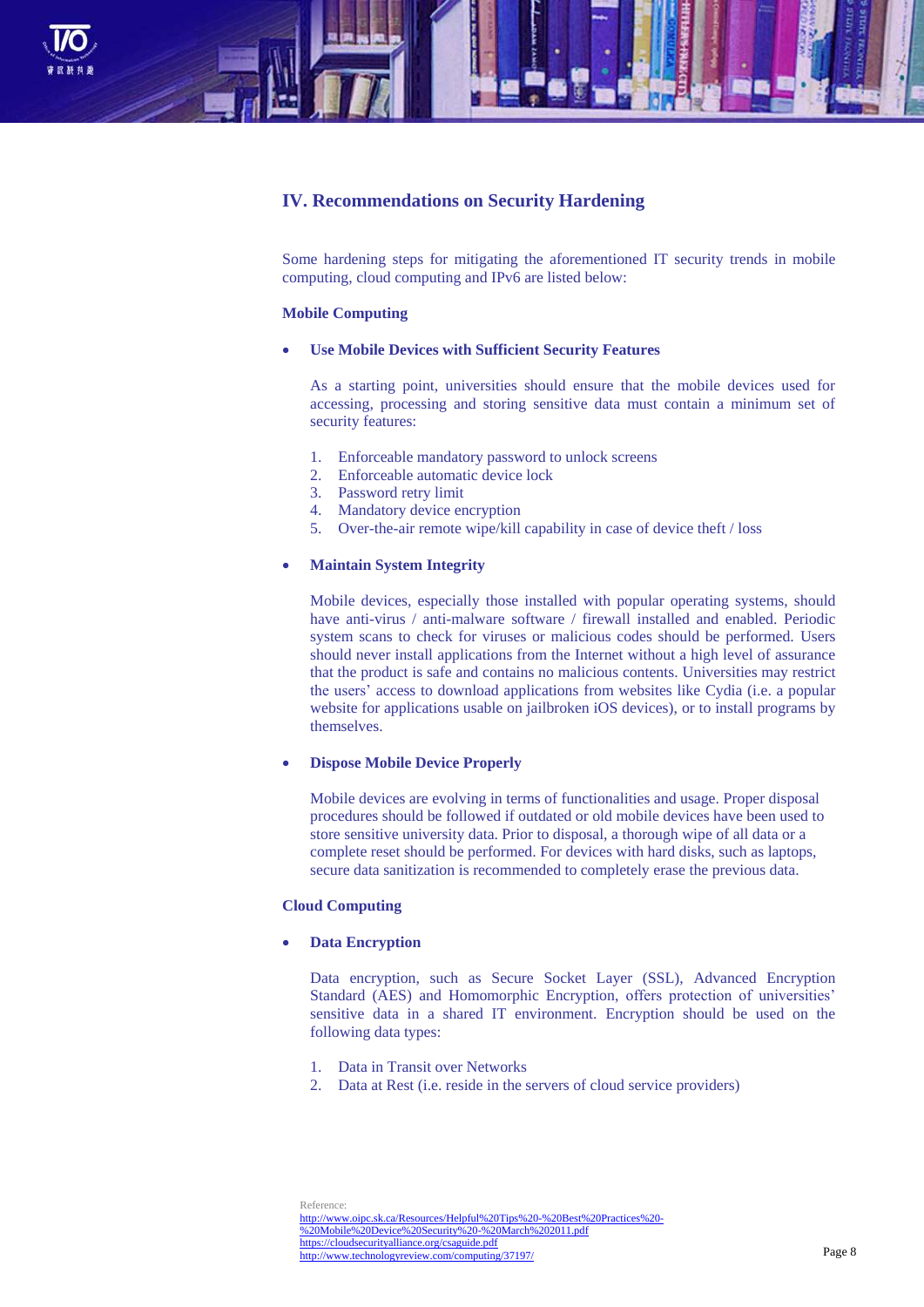

# **IV. Recommendations on Security Hardening**

Some hardening steps for mitigating the aforementioned IT security trends in mobile computing, cloud computing and IPv6 are listed below:

#### **Mobile Computing**

# **Use Mobile Devices with Sufficient Security Features**

As a starting point, universities should ensure that the mobile devices used for accessing, processing and storing sensitive data must contain a minimum set of security features:

- 1. Enforceable mandatory password to unlock screens
- 2. Enforceable automatic device lock
- 3. Password retry limit
- 4. Mandatory device encryption
- 5. Over-the-air remote wipe/kill capability in case of device theft / loss

#### **Maintain System Integrity**

Mobile devices, especially those installed with popular operating systems, should have anti-virus / anti-malware software / firewall installed and enabled. Periodic system scans to check for viruses or malicious codes should be performed. Users should never install applications from the Internet without a high level of assurance that the product is safe and contains no malicious contents. Universities may restrict the users' access to download applications from websites like Cydia (i.e. a popular website for applications usable on jailbroken iOS devices), or to install programs by themselves.

#### **Dispose Mobile Device Properly**

Mobile devices are evolving in terms of functionalities and usage. Proper disposal procedures should be followed if outdated or old mobile devices have been used to store sensitive university data. Prior to disposal, a thorough wipe of all data or a complete reset should be performed. For devices with hard disks, such as laptops, secure data sanitization is recommended to completely erase the previous data.

# **Cloud Computing**

# **Data Encryption**

Data encryption, such as Secure Socket Layer (SSL), Advanced Encryption Standard (AES) and Homomorphic Encryption, offers protection of universities' sensitive data in a shared IT environment. Encryption should be used on the following data types:

- 1. Data in Transit over Networks
- 2. Data at Rest (i.e. reside in the servers of cloud service providers)

Reference: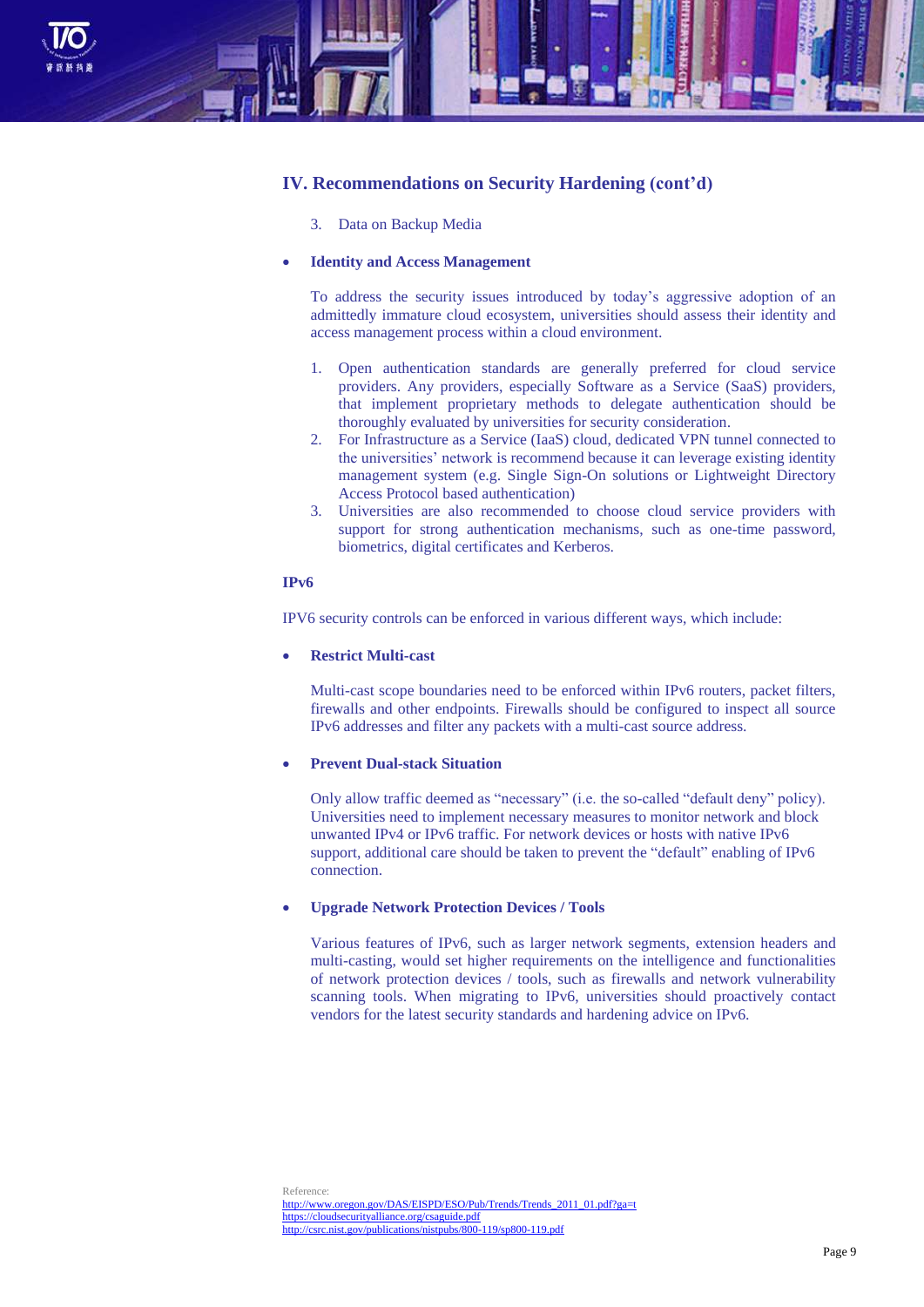

# **IV. Recommendations on Security Hardening (cont'd)**

3. Data on Backup Media

## **Identity and Access Management**

To address the security issues introduced by today's aggressive adoption of an admittedly immature cloud ecosystem, universities should assess their identity and access management process within a cloud environment.

- 1. Open authentication standards are generally preferred for cloud service providers. Any providers, especially Software as a Service (SaaS) providers, that implement proprietary methods to delegate authentication should be thoroughly evaluated by universities for security consideration.
- 2. For Infrastructure as a Service (IaaS) cloud, dedicated VPN tunnel connected to the universities' network is recommend because it can leverage existing identity management system (e.g. Single Sign-On solutions or Lightweight Directory Access Protocol based authentication)
- 3. Universities are also recommended to choose cloud service providers with support for strong authentication mechanisms, such as one-time password, biometrics, digital certificates and Kerberos.

#### **IPv6**

IPV6 security controls can be enforced in various different ways, which include:

#### **Restrict Multi-cast**

Multi-cast scope boundaries need to be enforced within IPv6 routers, packet filters, firewalls and other endpoints. Firewalls should be configured to inspect all source IPv6 addresses and filter any packets with a multi-cast source address.

# **Prevent Dual-stack Situation**

Only allow traffic deemed as "necessary" (i.e. the so-called "default deny" policy). Universities need to implement necessary measures to monitor network and block unwanted IPv4 or IPv6 traffic. For network devices or hosts with native IPv6 support, additional care should be taken to prevent the "default" enabling of IPv6 connection.

# **Upgrade Network Protection Devices / Tools**

Various features of IPv6, such as larger network segments, extension headers and multi-casting, would set higher requirements on the intelligence and functionalities of network protection devices / tools, such as firewalls and network vulnerability scanning tools. When migrating to IPv6, universities should proactively contact vendors for the latest security standards and hardening advice on IPv6.